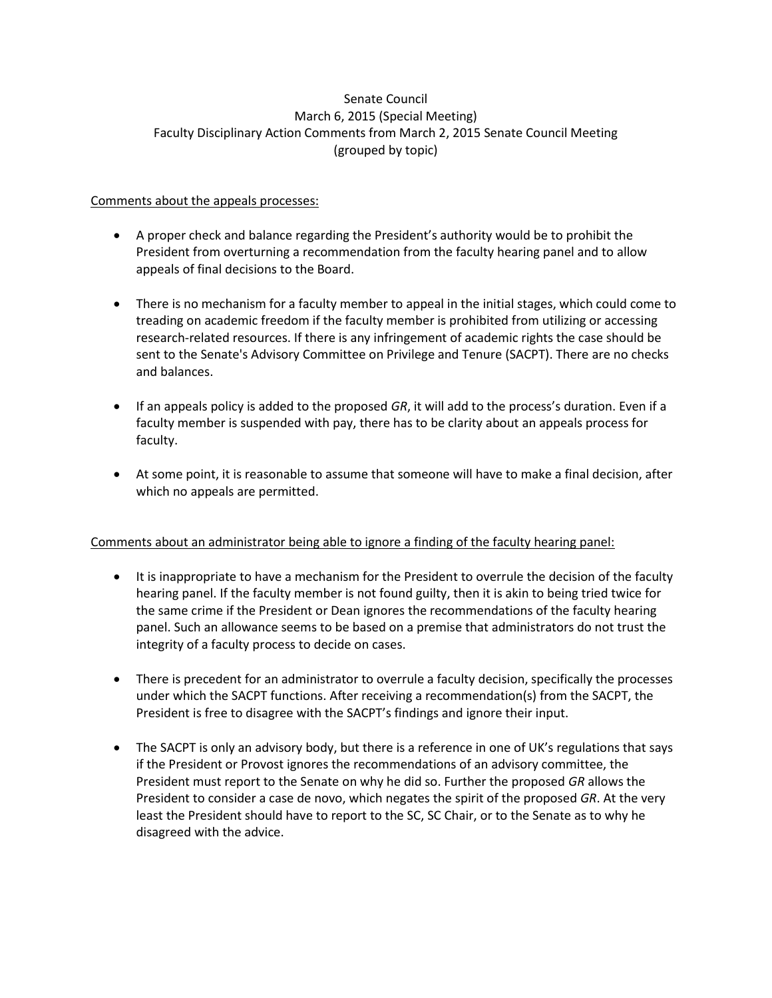# Senate Council March 6, 2015 (Special Meeting) Faculty Disciplinary Action Comments from March 2, 2015 Senate Council Meeting (grouped by topic)

### Comments about the appeals processes:

- A proper check and balance regarding the President's authority would be to prohibit the President from overturning a recommendation from the faculty hearing panel and to allow appeals of final decisions to the Board.
- There is no mechanism for a faculty member to appeal in the initial stages, which could come to treading on academic freedom if the faculty member is prohibited from utilizing or accessing research-related resources. If there is any infringement of academic rights the case should be sent to the Senate's Advisory Committee on Privilege and Tenure (SACPT). There are no checks and balances.
- If an appeals policy is added to the proposed *GR*, it will add to the process's duration. Even if a faculty member is suspended with pay, there has to be clarity about an appeals process for faculty.
- At some point, it is reasonable to assume that someone will have to make a final decision, after which no appeals are permitted.

# Comments about an administrator being able to ignore a finding of the faculty hearing panel:

- It is inappropriate to have a mechanism for the President to overrule the decision of the faculty hearing panel. If the faculty member is not found guilty, then it is akin to being tried twice for the same crime if the President or Dean ignores the recommendations of the faculty hearing panel. Such an allowance seems to be based on a premise that administrators do not trust the integrity of a faculty process to decide on cases.
- There is precedent for an administrator to overrule a faculty decision, specifically the processes under which the SACPT functions. After receiving a recommendation(s) from the SACPT, the President is free to disagree with the SACPT's findings and ignore their input.
- The SACPT is only an advisory body, but there is a reference in one of UK's regulations that says if the President or Provost ignores the recommendations of an advisory committee, the President must report to the Senate on why he did so. Further the proposed *GR* allows the President to consider a case de novo, which negates the spirit of the proposed *GR*. At the very least the President should have to report to the SC, SC Chair, or to the Senate as to why he disagreed with the advice.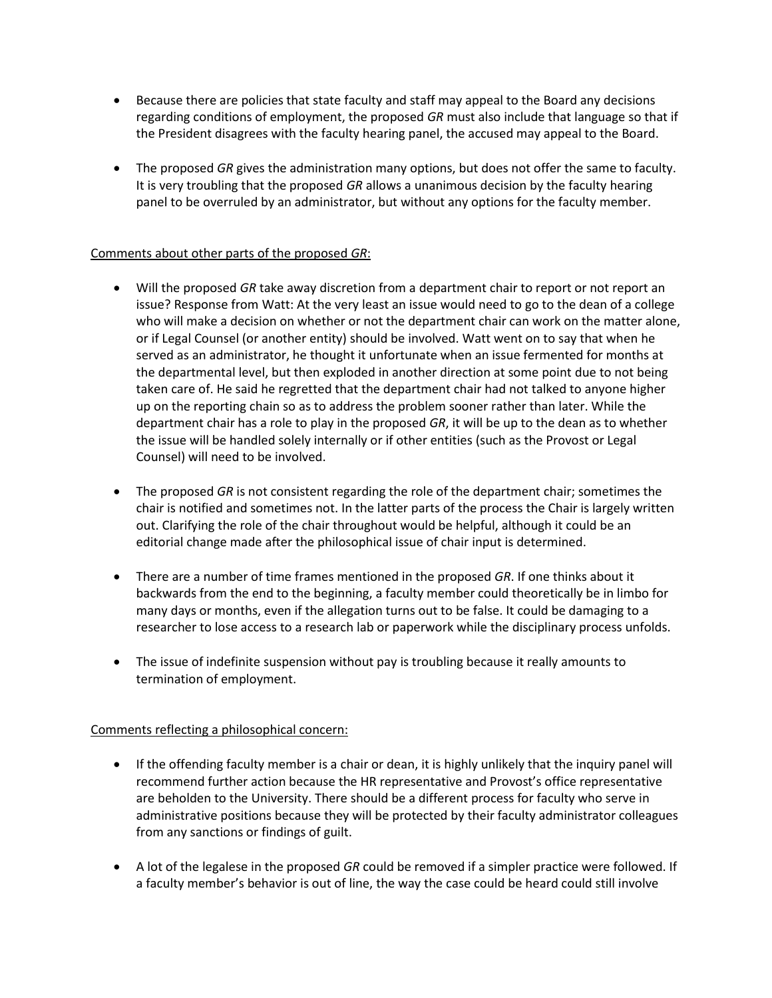- Because there are policies that state faculty and staff may appeal to the Board any decisions regarding conditions of employment, the proposed *GR* must also include that language so that if the President disagrees with the faculty hearing panel, the accused may appeal to the Board.
- The proposed *GR* gives the administration many options, but does not offer the same to faculty. It is very troubling that the proposed *GR* allows a unanimous decision by the faculty hearing panel to be overruled by an administrator, but without any options for the faculty member.

### Comments about other parts of the proposed *GR*:

- Will the proposed *GR* take away discretion from a department chair to report or not report an issue? Response from Watt: At the very least an issue would need to go to the dean of a college who will make a decision on whether or not the department chair can work on the matter alone, or if Legal Counsel (or another entity) should be involved. Watt went on to say that when he served as an administrator, he thought it unfortunate when an issue fermented for months at the departmental level, but then exploded in another direction at some point due to not being taken care of. He said he regretted that the department chair had not talked to anyone higher up on the reporting chain so as to address the problem sooner rather than later. While the department chair has a role to play in the proposed *GR*, it will be up to the dean as to whether the issue will be handled solely internally or if other entities (such as the Provost or Legal Counsel) will need to be involved.
- The proposed *GR* is not consistent regarding the role of the department chair; sometimes the chair is notified and sometimes not. In the latter parts of the process the Chair is largely written out. Clarifying the role of the chair throughout would be helpful, although it could be an editorial change made after the philosophical issue of chair input is determined.
- There are a number of time frames mentioned in the proposed *GR*. If one thinks about it backwards from the end to the beginning, a faculty member could theoretically be in limbo for many days or months, even if the allegation turns out to be false. It could be damaging to a researcher to lose access to a research lab or paperwork while the disciplinary process unfolds.
- The issue of indefinite suspension without pay is troubling because it really amounts to termination of employment.

# Comments reflecting a philosophical concern:

- If the offending faculty member is a chair or dean, it is highly unlikely that the inquiry panel will recommend further action because the HR representative and Provost's office representative are beholden to the University. There should be a different process for faculty who serve in administrative positions because they will be protected by their faculty administrator colleagues from any sanctions or findings of guilt.
- A lot of the legalese in the proposed *GR* could be removed if a simpler practice were followed. If a faculty member's behavior is out of line, the way the case could be heard could still involve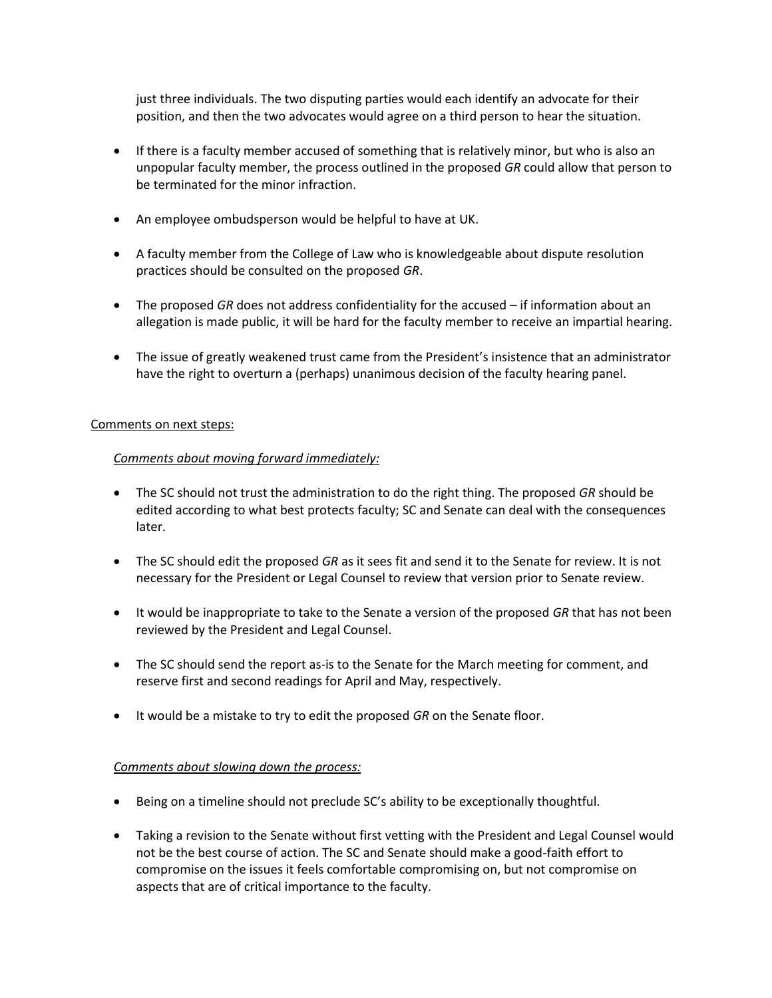just three individuals. The two disputing parties would each identify an advocate for their position, and then the two advocates would agree on a third person to hear the situation.

- If there is a faculty member accused of something that is relatively minor, but who is also an unpopular faculty member, the process outlined in the proposed *GR* could allow that person to be terminated for the minor infraction.
- An employee ombudsperson would be helpful to have at UK.
- A faculty member from the College of Law who is knowledgeable about dispute resolution practices should be consulted on the proposed *GR*.
- The proposed *GR* does not address confidentiality for the accused if information about an allegation is made public, it will be hard for the faculty member to receive an impartial hearing.
- The issue of greatly weakened trust came from the President's insistence that an administrator have the right to overturn a (perhaps) unanimous decision of the faculty hearing panel.

#### Comments on next steps:

#### *Comments about moving forward immediately:*

- The SC should not trust the administration to do the right thing. The proposed *GR* should be edited according to what best protects faculty; SC and Senate can deal with the consequences later.
- The SC should edit the proposed *GR* as it sees fit and send it to the Senate for review. It is not necessary for the President or Legal Counsel to review that version prior to Senate review.
- It would be inappropriate to take to the Senate a version of the proposed *GR* that has not been reviewed by the President and Legal Counsel.
- The SC should send the report as-is to the Senate for the March meeting for comment, and reserve first and second readings for April and May, respectively.
- It would be a mistake to try to edit the proposed *GR* on the Senate floor.

#### *Comments about slowing down the process:*

- Being on a timeline should not preclude SC's ability to be exceptionally thoughtful.
- Taking a revision to the Senate without first vetting with the President and Legal Counsel would not be the best course of action. The SC and Senate should make a good-faith effort to compromise on the issues it feels comfortable compromising on, but not compromise on aspects that are of critical importance to the faculty.